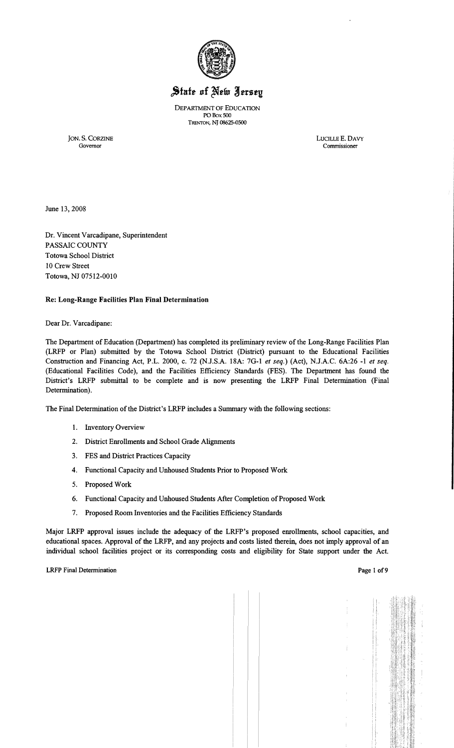

DEPARTMENT OF EDUCATION PO Box SOO TRENTON, NJ 08625-0500

JON. S. CORZINE LUCILLE E. DAV<br>Governor Commissioner

LUCILLE E. DAVY Governor Commissioner

June 13,2008

Dr. Vincent Varcadipane, Superintendent PASSAIC COUNTY Totowa School District 10 Crew Street Totowa, NJ 07512-0010

#### Re: Long-Range Facilities Plan Final Determination

Dear Dr. Varcadipane:

The Department of Education (Department) has completed its preliminary review of the Long-Range Facilities Plan (LRFP or Plan) submitted by the Totowa School District (District) pursuant to the Educational Facilities Construction and Financing Act, P.L. 2000, c. 72 (NJ.S.A. 18A: 7G-l *et seq.)* (Act), NJ.A.C. 6A:26 -1 *et seq.*  (Educational Facilities Code), and the Facilities Efficiency Standards (FES). The Department has found the District's LRFP submittal to be complete and is now presenting the LRFP Final Determination (Final Determination).

The Final Determination ofthe District's LRFP includes a Summary with the following sections:

- 1. Inventory Overview
- 2. District Enrollments and School Grade Alignments
- 3. FES and District Practices Capacity
- 4. Functional Capacity and Unhoused Students Prior to Proposed Work
- 5. Proposed Work
- 6. Functional Capacity and Unhoused Students After Completion of Proposed Work
- 7. Proposed Room Inventories and the Facilities Efficiency Standards

Major LRFP approval issues include the adequacy of the LRFP's proposed enrollments, school capacities, and educational spaces. Approval of the LRFP, and any projects and costs listed therein, does not imply approval of an individual school facilities project or its corresponding costs and eligibility for State support under the Act.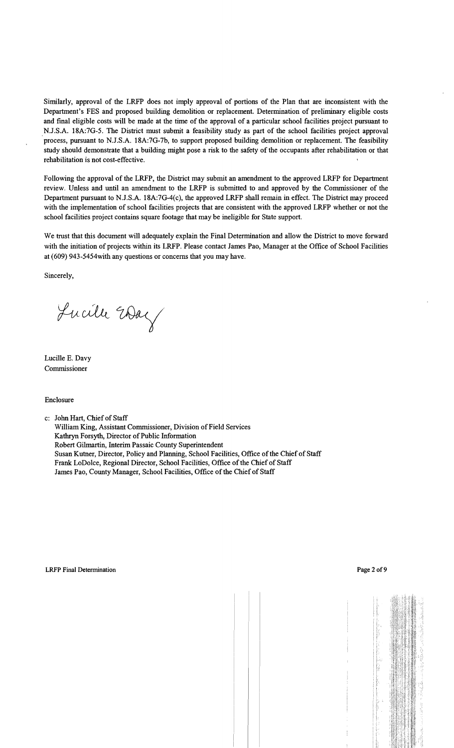Similarly, approval of the LRFP does not imply approval of portions of the Plan that are inconsistent with the Department's FES and proposed building demolition or replacement. Determination of preliminary eligible costs and final eligible costs will be made at the time of the approval of a particular school facilities project pursuant to N.J.S.A. 18A:7G-5. The District must submit a feasibility study as part of the school facilities project approval process, pursuant to N.J.S.A. 18A:7G-7b, to support proposed building demolition or replacement. The feasibility study should demonstrate that a building might pose a risk to the safety of the occupants after rehabilitation or that rehabilitation is not cost-effective.

Following the approval of the LRFP, the District may submit an amendment to the approved LRFP for Department review. Unless and until an amendment to the LRFP is submitted to and approved by the Commissioner of the Department pursuant to N.J.S.A. 18A:7G-4(c), the approved LRFP shall remain in effect. The District may proceed with the implementation of school facilities projects that are consistent with the approved LRFP whether or not the school facilities project contains square footage that may be ineligible for State support.

We trust that this document will adequately explain the Final Determination and allow the District to move forward with the initiation of projects within its LRFP. Please contact James Pao, Manager at the Office of School Facilities at (609) 943-5454with any questions or concerns that you may have.

Sincerely,

Lucille Way

Lucille E. Davy Commissioner

Enclosure

c: John Hart, Chief of Staff

William King, Assistant Commissioner, Division of Field Services Kathryn Forsyth, Director of Public Information Robert Gilmartin, Interim Passaic County Superintendent Susan Kutner, Director, Policy and Planning, School Facilities, Office of the Chief of Staff Frank LoDolce, Regional Director, School Facilities, Office of the Chief of Staff James Pao, County Manager, School Facilities, Office of the Chief of Staff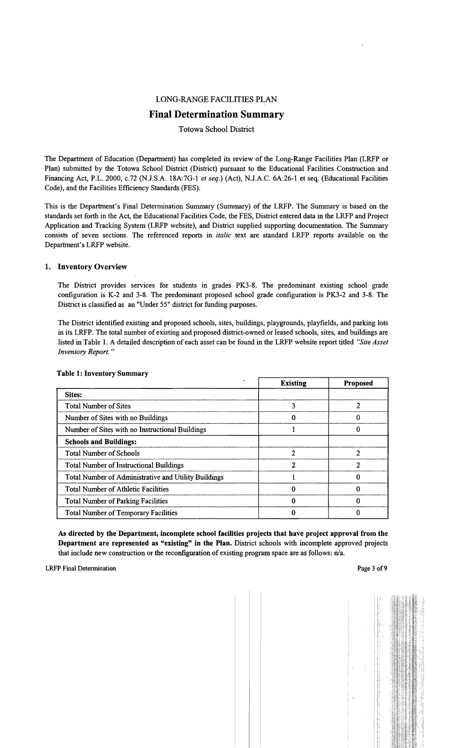#### LONG-RANGE FACILITIES PLAN

# Final Determination Summary

#### Totowa School District

The Department of Education (Department) has completed its review of the Long-Range Facilities Plan (LRFP or Plan) submitted by the Totowa School District (District) pursuant to the Educational Facilities Construction and Financing Act, P.L. 2000, c.72 (N.J.S.A. 18A:7G-l *et seq.)* (Act), N.J.A.C. 6A:26-1 et seq. (Educational Facilities Code), and the Facilities Efficiency Standards (FES).

This is the Department's Final Determination Summary (Summary) of the LRFP. The Summary is based on the standards set forth in the Act, the Educational Facilities Code, the FES, District entered data in the LRFP and Project Application and Tracking System (LRFP website), and District supplied supporting documentation. The Summary consists of seven sections. The referenced reports in *italic* text are standard LRFP reports available on the Department's LRFP website.

#### 1. Inventory Overview

The District provides services for students in grades PK3-8. The predominant existing school grade configuration is K-2 and 3-8. The predominant proposed school grade configuration is PK3-2 and 3-8. The District is classified as an "Under 55" district for funding purposes.

The District identified existing and proposed schools, sites, buildings, playgrounds, playfields, and parking lots in its LRFP. The total number of existing and proposed district-owned or leased schools, sites, and buildings are listed in Table 1. A detailed description of each asset can be found in the LRFP website report titled *'Site Asset Inventory Report. "* 

|                                                      | <b>Existing</b> | Proposed |
|------------------------------------------------------|-----------------|----------|
| Sites:                                               |                 |          |
| <b>Total Number of Sites</b>                         | 3               |          |
| Number of Sites with no Buildings                    | 0               | 0        |
| Number of Sites with no Instructional Buildings      |                 |          |
| <b>Schools and Buildings:</b>                        |                 |          |
| <b>Total Number of Schools</b>                       | 2               | 2        |
| <b>Total Number of Instructional Buildings</b>       | 2               | 2        |
| Total Number of Administrative and Utility Buildings |                 |          |
| <b>Total Number of Athletic Facilities</b>           | 0               | 0        |
| <b>Total Number of Parking Facilities</b>            |                 |          |
| <b>Total Number of Temporary Facilities</b>          |                 |          |

#### Table 1: Inventory Summary

As directed by the Department, incomplete school facilities projects that have project approval from the Department are represented as "existing" in the Plan. District schools with incomplete approved projects that include new construction or the reconfiguration of existing program space are as follows: n/a.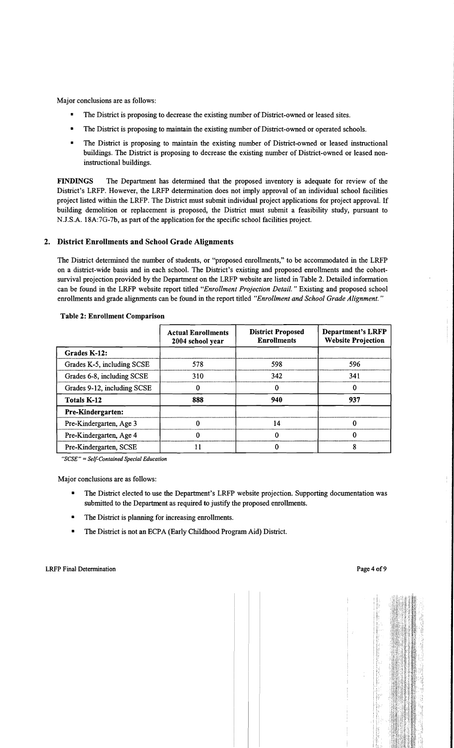Major conclusions are as follows:

- The District is proposing to decrease the existing number of District-owned or leased sites.
- The District is proposing to maintain the existing number of District-owned or operated schools.
- The District is proposing to maintain the existing number of District-owned or leased instructional buildings. The District is proposing to decrease the existing number of District-owned or leased noninstructional buildings.

FINDINGS The Department has determined that the proposed inventory is adequate for review of the District's LRFP. However, the LRFP determination does not imply approval of an individual school facilities project listed within the LRFP. The District must submit individual project applications for project approval. If building demolition or replacement is proposed, the District must submit a feasibility study, pursuant to N.J.S.A. 18A:7G-7b, as part of the application for the specific school facilities project.

# 2. District Enrollments and School Grade Alignments

The District determined the number of students, or "proposed enrollments," to be accommodated in the LRFP on a district-wide basis and in each school. The District's existing and proposed enrollments and the cohortsurvival projection provided by the Department on the LRFP website are listed in Table 2. Detailed information can be found in the LRFP website report titled *"Enrollment Projection Detail.* " Existing and proposed school enrollments and grade alignments can be found in the report titled *"Enrollment and School Grade Alignment. "* 

|                             | <b>Actual Enrollments</b><br>2004 school year | <b>District Proposed</b><br><b>Enrollments</b> | <b>Department's LRFP</b><br><b>Website Projection</b> |  |
|-----------------------------|-----------------------------------------------|------------------------------------------------|-------------------------------------------------------|--|
| Grades K-12:                |                                               |                                                |                                                       |  |
| Grades K-5, including SCSE  | 598<br>578                                    |                                                | 596                                                   |  |
| Grades 6-8, including SCSE  | 310                                           | 342                                            | 341                                                   |  |
| Grades 9-12, including SCSE |                                               | 0                                              | 0                                                     |  |
| <b>Totals K-12</b>          | 888                                           |                                                | 937                                                   |  |
| Pre-Kindergarten:           |                                               |                                                |                                                       |  |
| Pre-Kindergarten, Age 3     |                                               | 14                                             | 0                                                     |  |
| Pre-Kindergarten, Age 4     |                                               | 0                                              | 0                                                     |  |
| Pre-Kindergarten, SCSE      |                                               |                                                | 8                                                     |  |

#### Table 2: Enrollment Comparison

"SCSE" = Self-Contained Special Education

Major conclusions are as follows:

- The District elected to use the Department's LRFP website projection. Supporting documentation was submitted to the Department as required to justify the proposed enrollments.
- • The District is planning for increasing enrollments.
- The District is not an ECPA (Early Childhood Program Aid) District.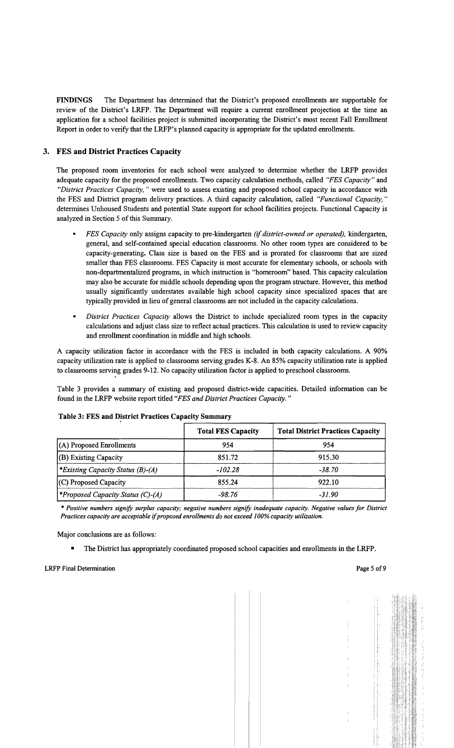FINDINGS The Department has determined that the District's proposed enrollments are supportable for review of the District's LRFP. The Department will require a current enrollment projection at the time an application for a school facilities project is submitted incorporating the District's most recent Fall Enrollment Report in order to verify that the LRFP's planned capacity is appropriate for the updated enrollments.

# 3. FES and District Practices Capacity

The proposed room inventories for each school were analyzed to determine whether the LRFP provides adequate capacity for the proposed enrollments. Two capacity calculation methods, called *"FES Capacity"* and *"District Practices Capacity,* " were used to assess existing and proposed school capacity in accordance with the FES and District program delivery practices. A third capacity calculation, called *"Functional Capacity, "*  determines Unhoused Students and potential State support for school facilities projects. Functional Capacity is analyzed in Section 5 of this Summary.

- *FES Capacity* only assigns capacity to pre-kindergarten *(if district-owned or operated),* kindergarten, general, and self-contained special education classrooms. No other room types are considered to be capacity-generating. Class size is based on the FES and is prorated for classrooms that are sized smaller than FES classrooms. FES Capacity is most accurate for elementary schools, or schools with non-departmentalized programs, in which instruction is "homeroom" based. This capacity calculation may also be accurate for middle schools depending upon the program structure. However, this method usually significantly understates available high school capacity since specialized spaces that are typically provided in lieu of general classrooms are not included in the capacity calculations.
- *District Practices Capacity allows the District to include specialized room types in the capacity* calculations and adjust class size to reflect actual practices. This calculation is used to review capacity and enrollment coordination in middle and high schools.

A capacity utilization factor in accordance with the FES is included in both capacity calculations. A 90% capacity utilization rate is applied to classrooms serving grades K-8. An 85% capacity utilization rate is applied to classrooms serving grades 9-12. No capacity utilization factor is applied to preschool classrooms.

Table 3 provides a summary of existing and proposed district-wide capacities. Detailed information can be found in the LRFP website report titled *"FES and District Practices Capacity. "* 

|                                          | <b>Total FES Capacity</b> | <b>Total District Practices Capacity</b> |
|------------------------------------------|---------------------------|------------------------------------------|
| $(A)$ Proposed Enrollments               | 954                       | 954                                      |
| (B) Existing Capacity                    | 851.72                    | 915.30                                   |
| <i>Existing Capacity Status (B)-(A)</i>  | $-102.28$                 | $-38.70$                                 |
| (C) Proposed Capacity                    | 855.24                    | 922.10                                   |
| <b>*Proposed Capacity Status (C)-(A)</b> | -98.76                    | $-31.90$                                 |

#### Table 3: FES and District Practices Capacity Summary

*• Positive numbers signify surplus capacity; negative numbers signify inadequate capacity. Negative values for District Practices capacity are acceptable* if*proposed enrollments do not exceed 100% capacity utilization.* 

Major conclusions are as follows:

• The District has appropriately coordinated proposed school capacities and enrollments in the LRFP.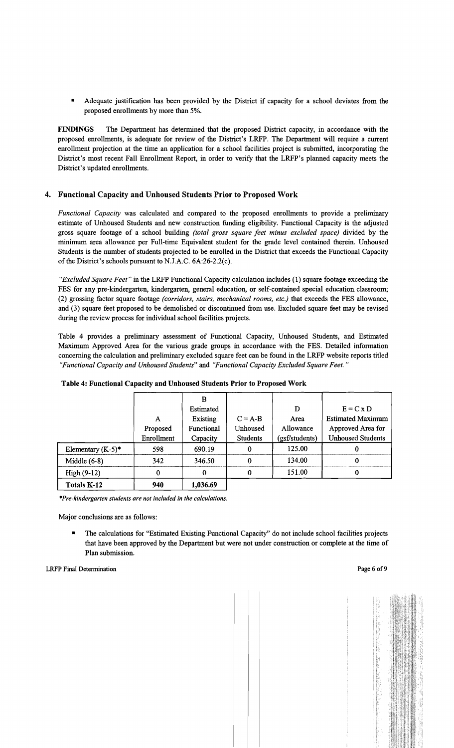Adequate justification has been provided by the District if capacity for a school deviates from the proposed enrollments by more than 5%.

FINDINGS The Department has determined that the proposed District capacity, in accordance with the proposed enrollments, is adequate for review of the District's LRFP. The Department will require a current enrollment projection at the time an application for a school facilities project is submitted, incorporating the District's most recent Fall Enrollment Report, in order to verify that the LRFP's planned capacity meets the District's updated enrollments.

# 4. Functional Capacity and Unhoused Students Prior to Proposed Work

*Functional Capacity* was calculated and compared to the proposed enrollments to provide a preliminary estimate of Unhoused Students and new construction funding eligibility. Functional Capacity is the adjusted gross square footage of a school building *(total gross square feet minus excluded space)* divided by the minimum area allowance per Full-time Equivalent student for the grade level contained therein. Unhoused Students is the number of students projected to be enrolled in the District that exceeds the Functional Capacity of the District's schools pursuant to N.J.A.C.  $6A:26-2.2(c)$ .

*"Excluded Square Feet"* in the LRFP Functional Capacity calculation includes (1) square footage exceeding the FES for any pre-kindergarten, kindergarten, general education, or self-contained special education classroom; (2) grossing factor square footage *(corridors, stairs, mechanical rooms, etc.)* that exceeds the FES allowance, and (3) square feet proposed to be demolished or discontinued from use. Excluded square feet may be revised during the review process for individual school facilities projects.

Table 4 provides a preliminary assessment of Functional Capacity, Unhoused Students, and Estimated Maximum Approved Area for the various grade groups in accordance with the FES. Detailed information concerning the calculation and preliminary excluded square feet can be found in the LRFP website reports titled *"Functional Capacity and Unhoused Students"* and *"Functional Capacity Excluded Square Feet."* 

|                      |            | В          |                 |                |                          |
|----------------------|------------|------------|-----------------|----------------|--------------------------|
|                      |            | Estimated  |                 | D              | $E = C x D$              |
|                      | A          | Existing   | $C = A-B$       | Area           | <b>Estimated Maximum</b> |
|                      | Proposed   | Functional | Unhoused        | Allowance      | Approved Area for        |
|                      | Enrollment | Capacity   | <b>Students</b> | (gsf/students) | <b>Unhoused Students</b> |
| Elementary $(K-5)^*$ | 598        | 690.19     | 0               | 125.00         |                          |
| Middle $(6-8)$       | 342        | 346.50     | $\bf{0}$        | 134.00         | 0                        |
| High (9-12)          | 0          | 0          |                 | 151.00         |                          |
| Totals K-12          | 940        | 1,036.69   |                 |                |                          |

Table 4: Functional Capacity and Unhoused Students Prior to Proposed Work

*\*Pre-kindergarten students are not included in the calculations.* 

Major conclusions are as follows:

The calculations for "Estimated Existing Functional Capacity" do not include school facilities projects that have been approved by the Department but were not under construction or complete at the time of Plan submission.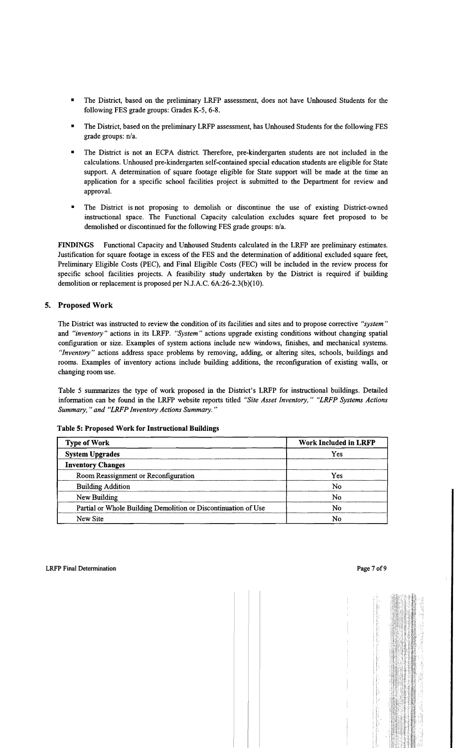- The District, based on the preliminary LRFP assessment, does not have Unhoused Students for the following FES grade groups: Grades K-5, 6-8.
- The District, based on the preliminary LRFP assessment, has Unhoused Students for the following FES grade groups: n/a.
- The District is not an ECPA district. Therefore, pre-kindergarten students are not included in the calculations. Unhoused pre-kindergarten self-contained special education students are eligible for State support. A determination of square footage eligible for State support will be made at the time an application for a specific school facilities project is submitted to the Department for review and approval.
- The District is not proposing to demolish or discontinue the use of existing District-owned instructional space. The Functional Capacity calculation excludes square feet proposed to be demolished or discontinued for the following FES grade groups: n/a.

FINDINGS Functional Capacity and Unhoused Students calculated in the LRFP are preliminary estimates. Justification for square footage in excess of the FES and the determination of additional excluded square feet, Preliminary Eligible Costs (PEC), and Final Eligible Costs (FEC) will be included in the review process for specific school facilities projects. A feasibility study undertaken by the District is required if building demolition or replacement is proposed per NJ.A.C. 6A:26-2.3(b)(10).

# 5. Proposed Work

The District was instructed to review the condition of its facilities and sites and to propose corrective *"system"*  and *"inventory"* actions in its LRFP. *"System"* actions upgrade existing conditions without changing spatial configuration or size. Examples of system actions include new windows, finishes, and mechanical systems. *"Inventory"* actions address space problems by removing, adding, or altering sites, schools, buildings and rooms. Examples of inventory actions include building additions, the reconfiguration of existing walls, or changing room use.

Table 5 summarizes the type of work proposed in the District's LRFP for instructional buildings. Detailed information can be found in the LRFP website reports titled *"Site Asset Inventory," "LRFP Systems Actions Summary,* " *and "LRFP Inventory Actions Summary. "* 

| <b>Type of Work</b>                                            | <b>Work Included in LRFP</b> |  |  |
|----------------------------------------------------------------|------------------------------|--|--|
| <b>System Upgrades</b>                                         | Yes                          |  |  |
| <b>Inventory Changes</b>                                       |                              |  |  |
| Room Reassignment or Reconfiguration                           | Yes                          |  |  |
| <b>Building Addition</b>                                       | No                           |  |  |
| New Building                                                   | No                           |  |  |
| Partial or Whole Building Demolition or Discontinuation of Use | No                           |  |  |
| New Site                                                       | No                           |  |  |

Table 5: Proposed Work for Instructional Buildings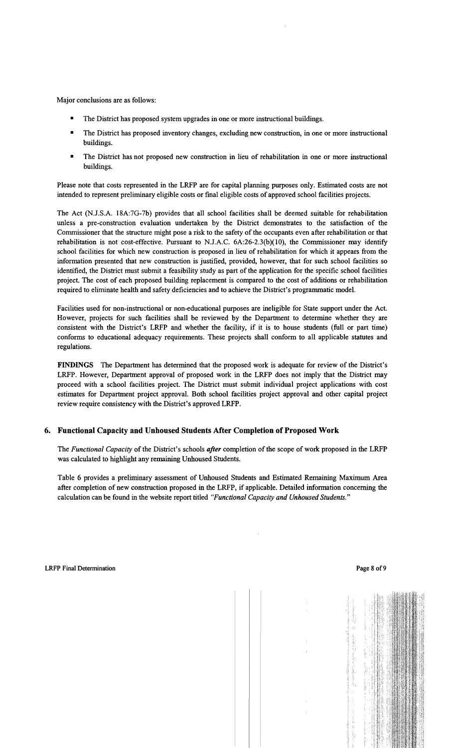Major conclusions are as follows:

- The District has proposed system upgrades in one or more instructional buildings.
- The District has proposed inventory changes, excluding new construction, in one or more instructional buildings.
- The District has not proposed new construction in lieu of rehabilitation in one or more instructional buildings.

Please note that costs represented in the LRFP are for capital planning purposes only. Estimated costs are not intended to represent preliminary eligible costs or final eligible costs of approved school facilities projects.

The Act (N.J.S.A. 18A:7G-7b) provides that all school facilities shall be deemed suitable for rehabilitation unless a pre-construction evaluation undertaken by the District demonstrates to the satisfaction of the Commissioner that the structure might pose a risk to the safety of the occupants even after rehabilitation or that rehabilitation is not cost-effective. Pursuant to N.J.A.C.  $6A:26-2.3(b)(10)$ , the Commissioner may identify school facilities for which new construction is proposed in lieu of rehabilitation for which it appears from the information presented that new construction is justified, provided, however, that for such school facilities so identified, the District must submit a feasibility study as part of the application for the specific school facilities project. The cost of each proposed building replacement is compared to the cost of additions or rehabilitation required to eliminate health and safety deficiencies and to achieve the District's programmatic model.

Facilities used for non-instructional or non-educational purposes are ineligible for State support under the Act. However, projects for such facilities shall be reviewed by the Department to determine whether they are consistent with the District's LRFP and whether the facility, if it is to house students (full or part time) conforms to educational adequacy requirements. These projects shall conform to all applicable statutes and regulations.

FINDINGS The Department has determined that the proposed work is adequate for review of the District's LRFP. However, Department approval of proposed work in the LRFP does not imply that the District may proceed with a school facilities project. The District must submit individual project applications with cost estimates for Department project approval. Both school facilities project approval and other capital project review require consistency with the District's approved LRFP.

# 6. Functional Capacity and Unhoused Students After Completion of Proposed Work

The *Functional Capacity* of the District's schools *after* completion of the scope of work proposed in the LRFP was calculated to highlight any remaining Unhoused Students.

Table 6 provides a preliminary assessment of Unhoused Students and Estimated Remaining Maximum Area after completion of new construction proposed in the LRFP, if applicable. Detailed information concerning the calculation can be found in the website report titled *"Functional Capacity and Unhoused Students."*